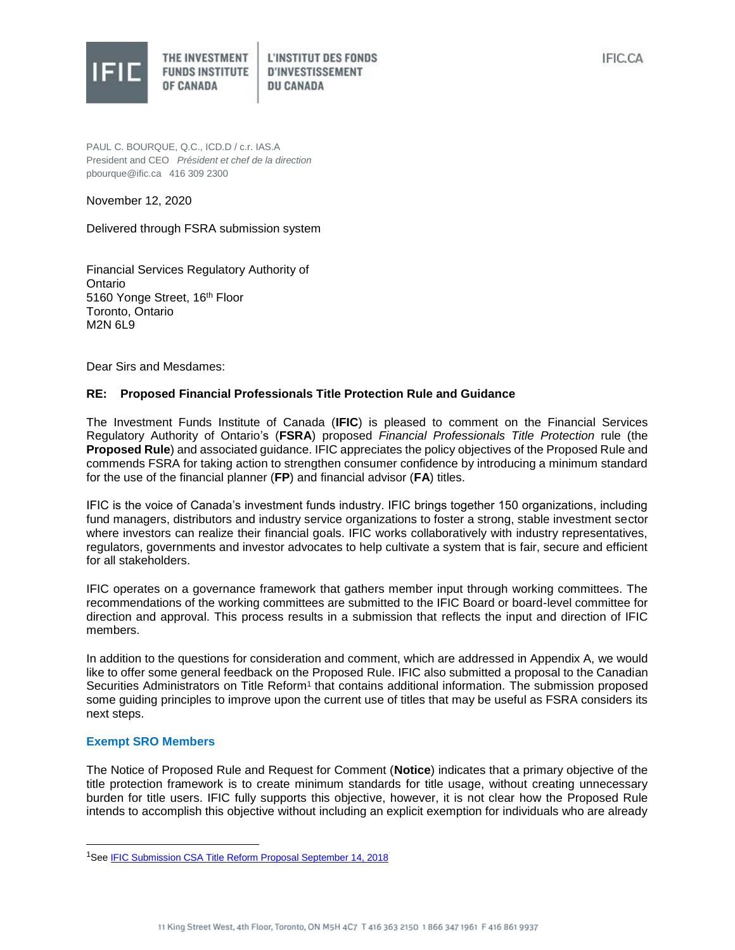

PAUL C. BOURQUE, Q.C., ICD.D / c.r. IAS.A

President and CEO *Président et chef de la direction* pbourque@ific.ca 416 309 2300

November 12, 2020

Delivered through FSRA submission system

Financial Services Regulatory Authority of Ontario 5160 Yonge Street, 16th Floor Toronto, Ontario M2N 6L9

Dear Sirs and Mesdames:

# **RE: Proposed Financial Professionals Title Protection Rule and Guidance**

The Investment Funds Institute of Canada (**IFIC**) is pleased to comment on the Financial Services Regulatory Authority of Ontario's (**FSRA**) proposed *Financial Professionals Title Protection* rule (the **Proposed Rule**) and associated guidance. IFIC appreciates the policy objectives of the Proposed Rule and commends FSRA for taking action to strengthen consumer confidence by introducing a minimum standard for the use of the financial planner (**FP**) and financial advisor (**FA**) titles.

IFIC is the voice of Canada's investment funds industry. IFIC brings together 150 organizations, including fund managers, distributors and industry service organizations to foster a strong, stable investment sector where investors can realize their financial goals. IFIC works collaboratively with industry representatives, regulators, governments and investor advocates to help cultivate a system that is fair, secure and efficient for all stakeholders.

IFIC operates on a governance framework that gathers member input through working committees. The recommendations of the working committees are submitted to the IFIC Board or board-level committee for direction and approval. This process results in a submission that reflects the input and direction of IFIC members.

In addition to the questions for consideration and comment, which are addressed in Appendix A, we would like to offer some general feedback on the Proposed Rule. IFIC also submitted a proposal to the Canadian Securities Administrators on Title Reform<sup>1</sup> that contains additional information. The submission proposed some guiding principles to improve upon the current use of titles that may be useful as FSRA considers its next steps.

## **Exempt SRO Members**

l

The Notice of Proposed Rule and Request for Comment (**Notice**) indicates that a primary objective of the title protection framework is to create minimum standards for title usage, without creating unnecessary burden for title users. IFIC fully supports this objective, however, it is not clear how the Proposed Rule intends to accomplish this objective without including an explicit exemption for individuals who are already

<sup>&</sup>lt;sup>1</sup>See **IFIC Submission CSA Title Reform Proposal September 14, 2018**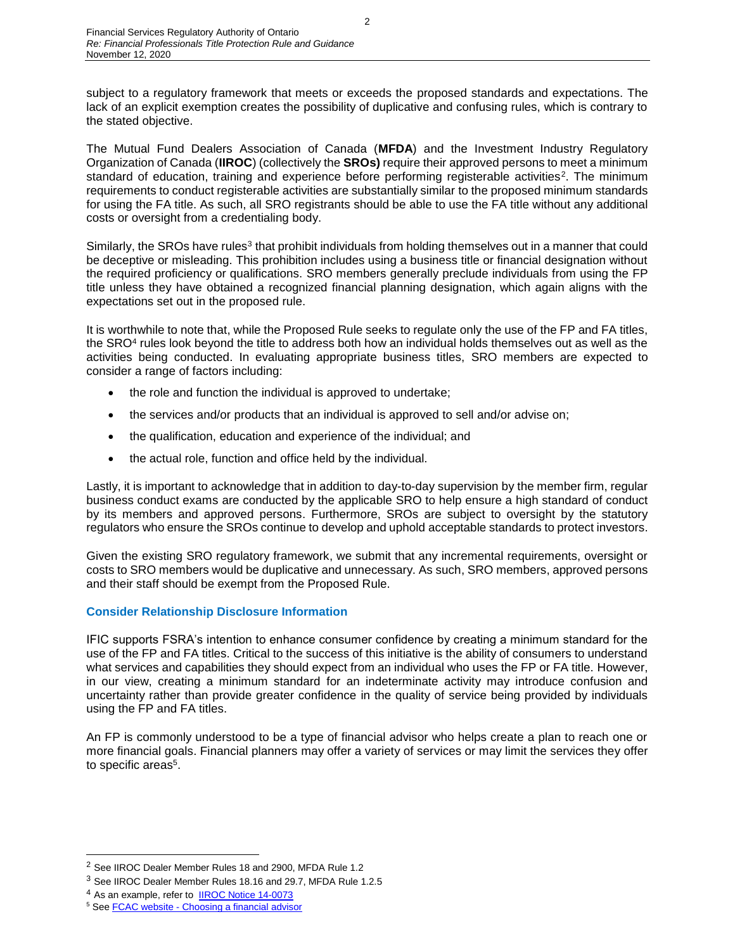subject to a regulatory framework that meets or exceeds the proposed standards and expectations. The lack of an explicit exemption creates the possibility of duplicative and confusing rules, which is contrary to the stated objective.

The Mutual Fund Dealers Association of Canada (**MFDA**) and the Investment Industry Regulatory Organization of Canada (**IIROC**) (collectively the **SROs)** require their approved persons to meet a minimum standard of education, training and experience before performing registerable activities<sup>2</sup>. The minimum requirements to conduct registerable activities are substantially similar to the proposed minimum standards for using the FA title. As such, all SRO registrants should be able to use the FA title without any additional costs or oversight from a credentialing body.

Similarly, the SROs have rules<sup>3</sup> that prohibit individuals from holding themselves out in a manner that could be deceptive or misleading. This prohibition includes using a business title or financial designation without the required proficiency or qualifications. SRO members generally preclude individuals from using the FP title unless they have obtained a recognized financial planning designation, which again aligns with the expectations set out in the proposed rule.

It is worthwhile to note that, while the Proposed Rule seeks to regulate only the use of the FP and FA titles, the SRO<sup>4</sup> rules look beyond the title to address both how an individual holds themselves out as well as the activities being conducted. In evaluating appropriate business titles, SRO members are expected to consider a range of factors including:

- the role and function the individual is approved to undertake;
- the services and/or products that an individual is approved to sell and/or advise on;
- the qualification, education and experience of the individual; and
- the actual role, function and office held by the individual.

Lastly, it is important to acknowledge that in addition to day-to-day supervision by the member firm, regular business conduct exams are conducted by the applicable SRO to help ensure a high standard of conduct by its members and approved persons. Furthermore, SROs are subject to oversight by the statutory regulators who ensure the SROs continue to develop and uphold acceptable standards to protect investors.

Given the existing SRO regulatory framework, we submit that any incremental requirements, oversight or costs to SRO members would be duplicative and unnecessary. As such, SRO members, approved persons and their staff should be exempt from the Proposed Rule.

# **Consider Relationship Disclosure Information**

IFIC supports FSRA's intention to enhance consumer confidence by creating a minimum standard for the use of the FP and FA titles. Critical to the success of this initiative is the ability of consumers to understand what services and capabilities they should expect from an individual who uses the FP or FA title. However, in our view, creating a minimum standard for an indeterminate activity may introduce confusion and uncertainty rather than provide greater confidence in the quality of service being provided by individuals using the FP and FA titles.

An FP is commonly understood to be a type of financial advisor who helps create a plan to reach one or more financial goals. Financial planners may offer a variety of services or may limit the services they offer to specific areas<sup>5</sup>.

l

<sup>2</sup> See IIROC Dealer Member Rules 18 and 2900, MFDA Rule 1.2

<sup>3</sup> See IIROC Dealer Member Rules 18.16 and 29.7, MFDA Rule 1.2.5

<sup>4</sup> As an example, refer to [IIROC Notice 14-0073](https://www.iiroc.ca/Documents/2014/3254a1ea-88c7-4ebb-b00c-4167f2708b67_en.pdf#search=14%2D0073)

<sup>&</sup>lt;sup>5</sup> See **FCAC** website - [Choosing a financial advisor](https://www.canada.ca/en/financial-consumer-agency/services/savings-investments/choose-financial-advisor.html)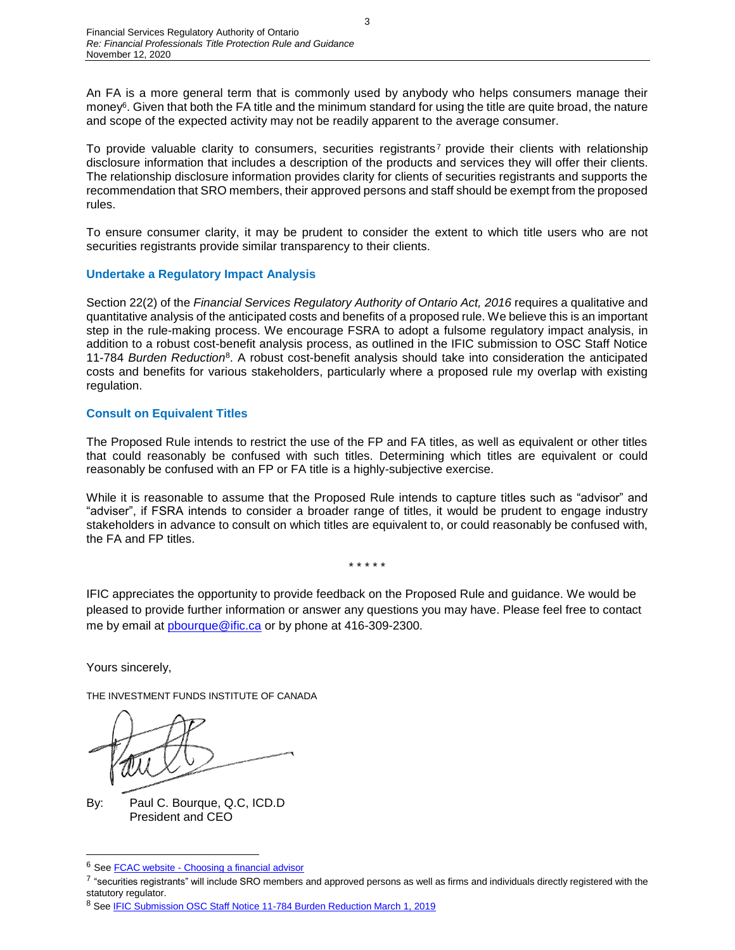An FA is a more general term that is commonly used by anybody who helps consumers manage their money<sup>6</sup>. Given that both the FA title and the minimum standard for using the title are quite broad, the nature and scope of the expected activity may not be readily apparent to the average consumer.

To provide valuable clarity to consumers, securities registrants<sup>7</sup> provide their clients with relationship disclosure information that includes a description of the products and services they will offer their clients. The relationship disclosure information provides clarity for clients of securities registrants and supports the recommendation that SRO members, their approved persons and staff should be exempt from the proposed rules.

To ensure consumer clarity, it may be prudent to consider the extent to which title users who are not securities registrants provide similar transparency to their clients.

# **Undertake a Regulatory Impact Analysis**

Section 22(2) of the *Financial Services Regulatory Authority of Ontario Act, 2016* requires a qualitative and quantitative analysis of the anticipated costs and benefits of a proposed rule. We believe this is an important step in the rule-making process. We encourage FSRA to adopt a fulsome regulatory impact analysis, in addition to a robust cost-benefit analysis process, as outlined in the IFIC submission to OSC Staff Notice 11-784 *Burden Reduction*<sup>8</sup> . A robust cost-benefit analysis should take into consideration the anticipated costs and benefits for various stakeholders, particularly where a proposed rule my overlap with existing regulation.

# **Consult on Equivalent Titles**

The Proposed Rule intends to restrict the use of the FP and FA titles, as well as equivalent or other titles that could reasonably be confused with such titles. Determining which titles are equivalent or could reasonably be confused with an FP or FA title is a highly-subjective exercise.

While it is reasonable to assume that the Proposed Rule intends to capture titles such as "advisor" and "adviser", if FSRA intends to consider a broader range of titles, it would be prudent to engage industry stakeholders in advance to consult on which titles are equivalent to, or could reasonably be confused with, the FA and FP titles.

## \* \* \* \* \*

IFIC appreciates the opportunity to provide feedback on the Proposed Rule and guidance. We would be pleased to provide further information or answer any questions you may have. Please feel free to contact me by email at [pbourque@ific.ca](mailto:pbourque@ific.ca) or by phone at 416-309-2300.

Yours sincerely,

l

THE INVESTMENT FUNDS INSTITUTE OF CANADA

By: Paul C. Bourque, Q.C, ICD.D President and CEO

<sup>6</sup> See FCAC website - [Choosing a financial advisor](https://www.canada.ca/en/financial-consumer-agency/services/savings-investments/choose-financial-advisor.html)

 $^7$  "securities registrants" will include SRO members and approved persons as well as firms and individuals directly registered with the statutory regulator.

<sup>8</sup> Se[e IFIC Submission OSC Staff Notice 11-784 Burden Reduction March 1, 2019](https://www.ific.ca/wp-content/uploads/2019/02/IFIC-Submission-OSC-Staff-Notice-11-784-Burden-Reduction-March-1-2019.pdf/21945/)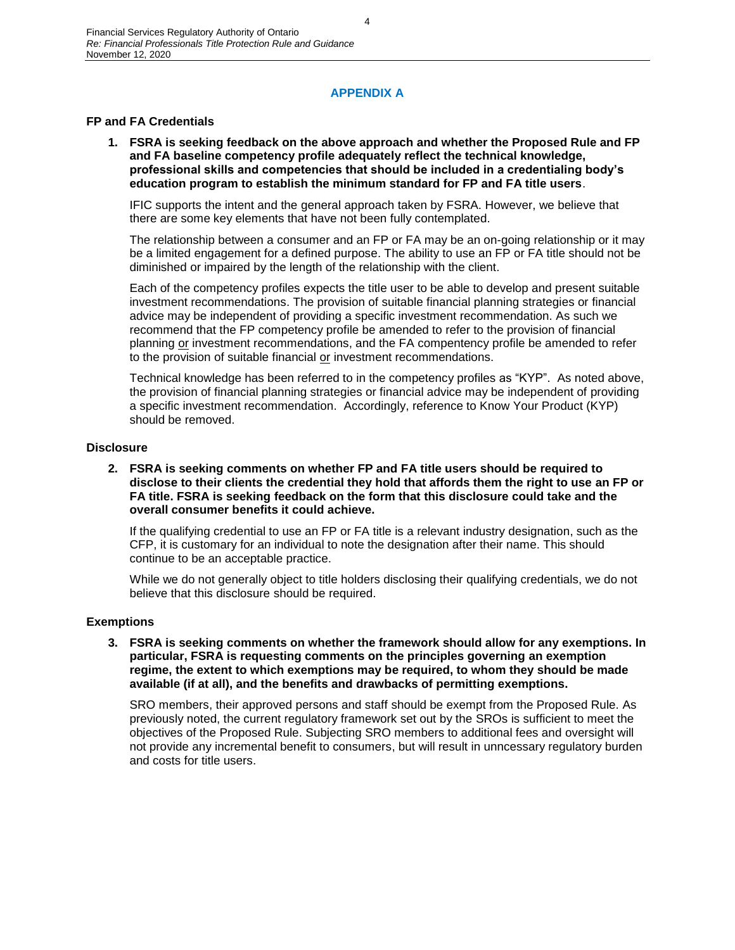# **APPENDIX A**

# **FP and FA Credentials**

**1. FSRA is seeking feedback on the above approach and whether the Proposed Rule and FP and FA baseline competency profile adequately reflect the technical knowledge, professional skills and competencies that should be included in a credentialing body's education program to establish the minimum standard for FP and FA title users**.

IFIC supports the intent and the general approach taken by FSRA. However, we believe that there are some key elements that have not been fully contemplated.

The relationship between a consumer and an FP or FA may be an on-going relationship or it may be a limited engagement for a defined purpose. The ability to use an FP or FA title should not be diminished or impaired by the length of the relationship with the client.

Each of the competency profiles expects the title user to be able to develop and present suitable investment recommendations. The provision of suitable financial planning strategies or financial advice may be independent of providing a specific investment recommendation. As such we recommend that the FP competency profile be amended to refer to the provision of financial planning or investment recommendations, and the FA compentency profile be amended to refer to the provision of suitable financial or investment recommendations.

Technical knowledge has been referred to in the competency profiles as "KYP". As noted above, the provision of financial planning strategies or financial advice may be independent of providing a specific investment recommendation. Accordingly, reference to Know Your Product (KYP) should be removed.

#### **Disclosure**

**2. FSRA is seeking comments on whether FP and FA title users should be required to disclose to their clients the credential they hold that affords them the right to use an FP or FA title. FSRA is seeking feedback on the form that this disclosure could take and the overall consumer benefits it could achieve.** 

If the qualifying credential to use an FP or FA title is a relevant industry designation, such as the CFP, it is customary for an individual to note the designation after their name. This should continue to be an acceptable practice.

While we do not generally object to title holders disclosing their qualifying credentials, we do not believe that this disclosure should be required.

#### **Exemptions**

**3. FSRA is seeking comments on whether the framework should allow for any exemptions. In particular, FSRA is requesting comments on the principles governing an exemption regime, the extent to which exemptions may be required, to whom they should be made available (if at all), and the benefits and drawbacks of permitting exemptions.**

SRO members, their approved persons and staff should be exempt from the Proposed Rule. As previously noted, the current regulatory framework set out by the SROs is sufficient to meet the objectives of the Proposed Rule. Subjecting SRO members to additional fees and oversight will not provide any incremental benefit to consumers, but will result in unncessary regulatory burden and costs for title users.